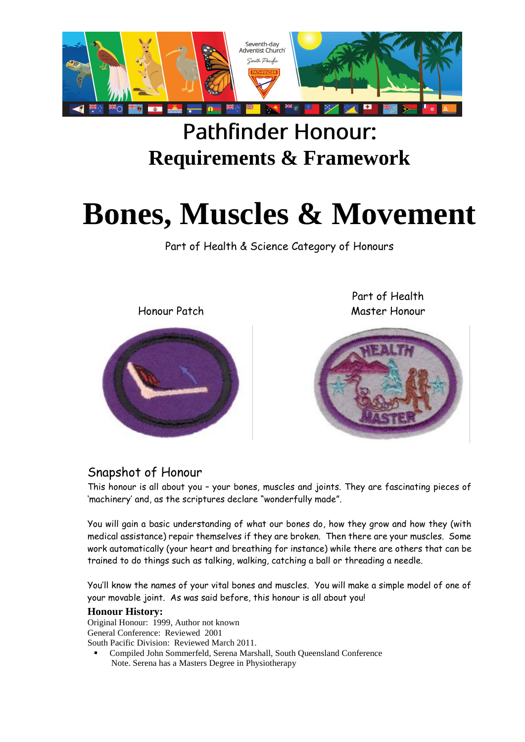

# **Pathfinder Honour: Requirements & Framework**

# **Bones, Muscles & Movement**

Part of Health & Science Category of Honours

Honour Patch



Part of Health Master Honour



#### Snapshot of Honour

This honour is all about you – your bones, muscles and joints. They are fascinating pieces of 'machinery' and, as the scriptures declare "wonderfully made".

You will gain a basic understanding of what our bones do, how they grow and how they (with medical assistance) repair themselves if they are broken. Then there are your muscles. Some work automatically (your heart and breathing for instance) while there are others that can be trained to do things such as talking, walking, catching a ball or threading a needle.

You'll know the names of your vital bones and muscles. You will make a simple model of one of your movable joint. As was said before, this honour is all about you!

#### **Honour History:**

Original Honour: 1999, Author not known General Conference: Reviewed 2001 South Pacific Division: Reviewed March 2011.

 Compiled John Sommerfeld, Serena Marshall, South Queensland Conference Note. Serena has a Masters Degree in Physiotherapy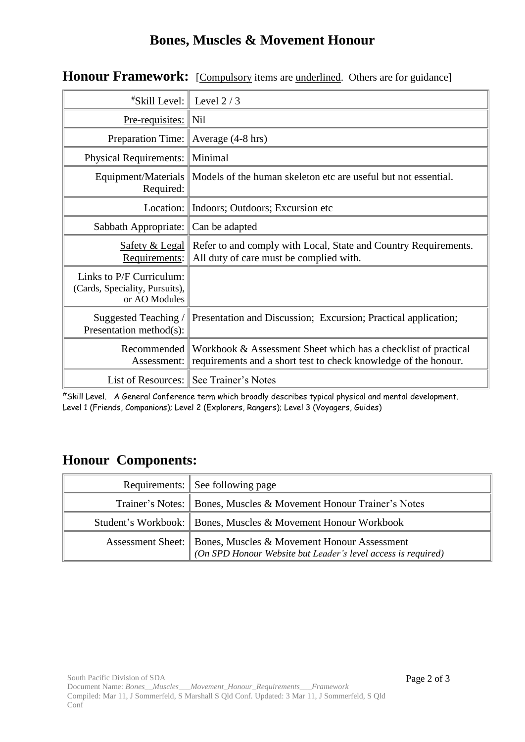### **Bones, Muscles & Movement Honour**

| <i><b>*Skill Level:</b></i>                                                 | Level $2/3$                                                                                                                       |
|-----------------------------------------------------------------------------|-----------------------------------------------------------------------------------------------------------------------------------|
| <u>Pre-requisites:</u>                                                      | Nil                                                                                                                               |
| Preparation Time:                                                           | Average (4-8 hrs)                                                                                                                 |
| <b>Physical Requirements:</b>                                               | Minimal                                                                                                                           |
| Equipment/Materials<br>Required:                                            | Models of the human skeleton etc are useful but not essential.                                                                    |
| Location: $\vert$                                                           | Indoors; Outdoors; Excursion etc.                                                                                                 |
| Sabbath Appropriate:                                                        | Can be adapted                                                                                                                    |
| <b>Safety &amp; Legal</b><br>Requirements:                                  | Refer to and comply with Local, State and Country Requirements.<br>All duty of care must be complied with.                        |
| Links to P/F Curriculum:<br>(Cards, Speciality, Pursuits),<br>or AO Modules |                                                                                                                                   |
| Suggested Teaching/<br>Presentation method(s):                              | Presentation and Discussion; Excursion; Practical application;                                                                    |
| Recommended<br>Assessment:                                                  | Workbook & Assessment Sheet which has a checklist of practical<br>requirements and a short test to check knowledge of the honour. |
| List of Resources: $\parallel$                                              | See Trainer's Notes                                                                                                               |

**Honour Framework:** [Compulsory items are <u>underlined</u>. Others are for guidance]

#Skill Level. A General Conference term which broadly describes typical physical and mental development. Level 1 (Friends, Companions); Level 2 (Explorers, Rangers); Level 3 (Voyagers, Guides)

## **Honour Components:**

| Requirements: See following page                                                                                                 |
|----------------------------------------------------------------------------------------------------------------------------------|
| Trainer's Notes:   Bones, Muscles & Movement Honour Trainer's Notes                                                              |
| Student's Workbook:   Bones, Muscles & Movement Honour Workbook                                                                  |
| Assessment Sheet:   Bones, Muscles & Movement Honour Assessment<br>(On SPD Honour Website but Leader's level access is required) |